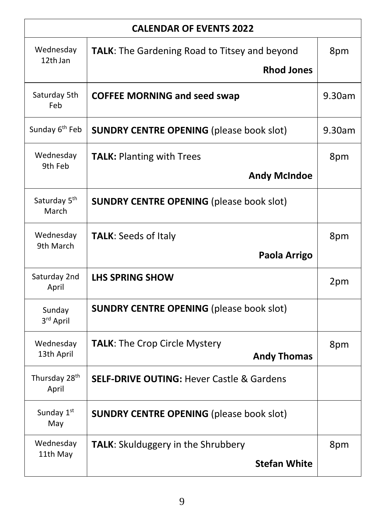| <b>CALENDAR OF EVENTS 2022</b>     |                                                            |        |  |
|------------------------------------|------------------------------------------------------------|--------|--|
| Wednesday<br>12th Jan              | <b>TALK:</b> The Gardening Road to Titsey and beyond       | 8pm    |  |
|                                    | <b>Rhod Jones</b>                                          |        |  |
| Saturday 5th<br>Feb                | <b>COFFEE MORNING and seed swap</b>                        | 9.30am |  |
| Sunday 6 <sup>th</sup> Feb         | <b>SUNDRY CENTRE OPENING (please book slot)</b>            | 9.30am |  |
| Wednesday<br>9th Feb               | <b>TALK: Planting with Trees</b>                           | 8pm    |  |
|                                    | <b>Andy McIndoe</b>                                        |        |  |
| Saturday 5 <sup>th</sup><br>March  | <b>SUNDRY CENTRE OPENING (please book slot)</b>            |        |  |
| Wednesday                          | <b>TALK: Seeds of Italy</b>                                | 8pm    |  |
| 9th March                          | Paola Arrigo                                               |        |  |
| Saturday 2nd<br>April              | <b>LHS SPRING SHOW</b>                                     | 2pm    |  |
| Sunday<br>3rd April                | <b>SUNDRY CENTRE OPENING (please book slot)</b>            |        |  |
| Wednesday<br>13th April            | <b>TALK: The Crop Circle Mystery</b><br><b>Andy Thomas</b> | 8pm    |  |
| Thursday 28 <sup>th</sup><br>April | <b>SELF-DRIVE OUTING: Hever Castle &amp; Gardens</b>       |        |  |
| Sunday 1st<br>May                  | <b>SUNDRY CENTRE OPENING (please book slot)</b>            |        |  |
| Wednesday<br>11th May              | <b>TALK:</b> Skulduggery in the Shrubbery                  | 8pm    |  |
|                                    | <b>Stefan White</b>                                        |        |  |